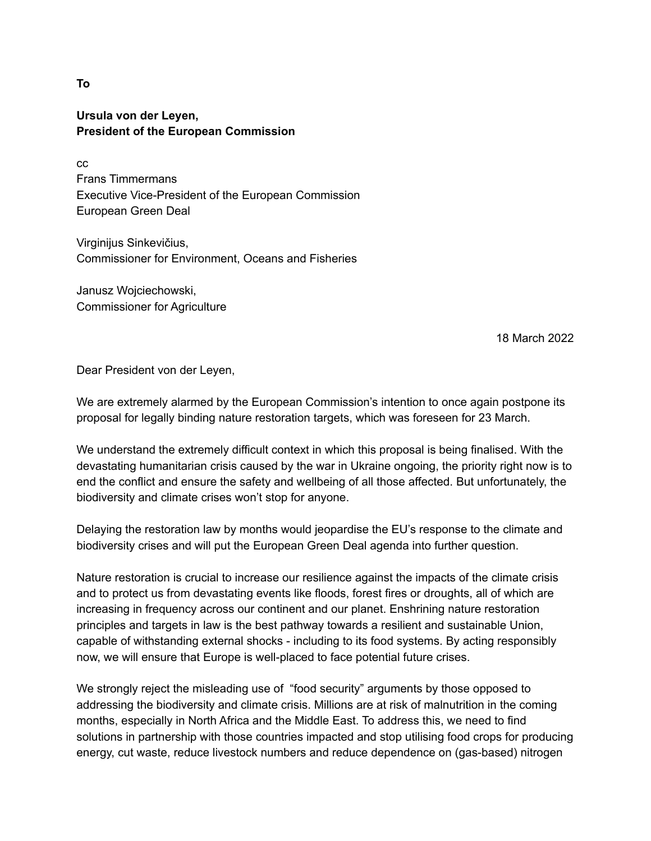**Ursula von der Leyen, President of the European Commission**

cc Frans Timmermans Executive Vice-President of the European Commission European Green Deal

Virginijus Sinkevičius, Commissioner for Environment, Oceans and Fisheries

Janusz Wojciechowski, Commissioner for Agriculture

18 March 2022

Dear President von der Leyen,

We are extremely alarmed by the European Commission's intention to once again postpone its proposal for legally binding nature restoration targets, which was foreseen for 23 March.

We understand the extremely difficult context in which this proposal is being finalised. With the devastating humanitarian crisis caused by the war in Ukraine ongoing, the priority right now is to end the conflict and ensure the safety and wellbeing of all those affected. But unfortunately, the biodiversity and climate crises won't stop for anyone.

Delaying the restoration law by months would jeopardise the EU's response to the climate and biodiversity crises and will put the European Green Deal agenda into further question.

Nature restoration is crucial to increase our resilience against the impacts of the climate crisis and to protect us from devastating events like floods, forest fires or droughts, all of which are increasing in frequency across our continent and our planet. Enshrining nature restoration principles and targets in law is the best pathway towards a resilient and sustainable Union, capable of withstanding external shocks - including to its food systems. By acting responsibly now, we will ensure that Europe is well-placed to face potential future crises.

We strongly reject the misleading use of "food security" arguments by those opposed to addressing the biodiversity and climate crisis. Millions are at risk of malnutrition in the coming months, especially in North Africa and the Middle East. To address this, we need to find solutions in partnership with those countries impacted and stop utilising food crops for producing energy, cut waste, reduce livestock numbers and reduce dependence on (gas-based) nitrogen

**To**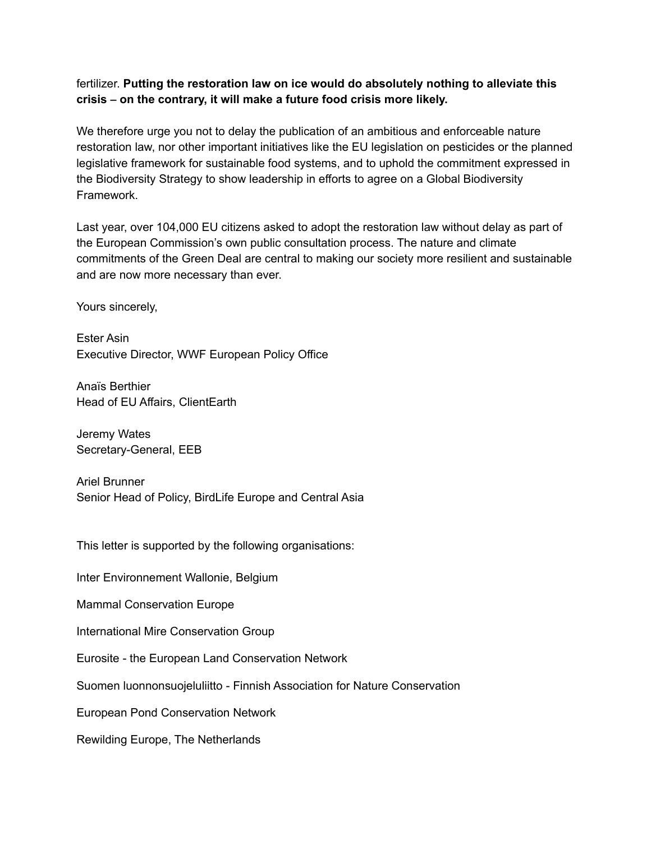## fertilizer. **Putting the restoration law on ice would do absolutely nothing to alleviate this crisis – on the contrary, it will make a future food crisis more likely.**

We therefore urge you not to delay the publication of an ambitious and enforceable nature restoration law, nor other important initiatives like the EU legislation on pesticides or the planned legislative framework for sustainable food systems, and to uphold the commitment expressed in the Biodiversity Strategy to show leadership in efforts to agree on a Global Biodiversity Framework.

Last year, over 104,000 EU citizens asked to adopt the restoration law without delay as part of the European Commission's own public consultation process. The nature and climate commitments of the Green Deal are central to making our society more resilient and sustainable and are now more necessary than ever.

Yours sincerely,

Ester Asin Executive Director, WWF European Policy Office

Anaïs Berthier Head of EU Affairs, ClientEarth

Jeremy Wates Secretary-General, EEB

Ariel Brunner Senior Head of Policy, BirdLife Europe and Central Asia

This letter is supported by the following organisations:

Inter Environnement Wallonie, Belgium

Mammal Conservation Europe

International Mire Conservation Group

Eurosite - the European Land Conservation Network

Suomen luonnonsuojeluliitto - Finnish Association for Nature Conservation

European Pond Conservation Network

Rewilding Europe, The Netherlands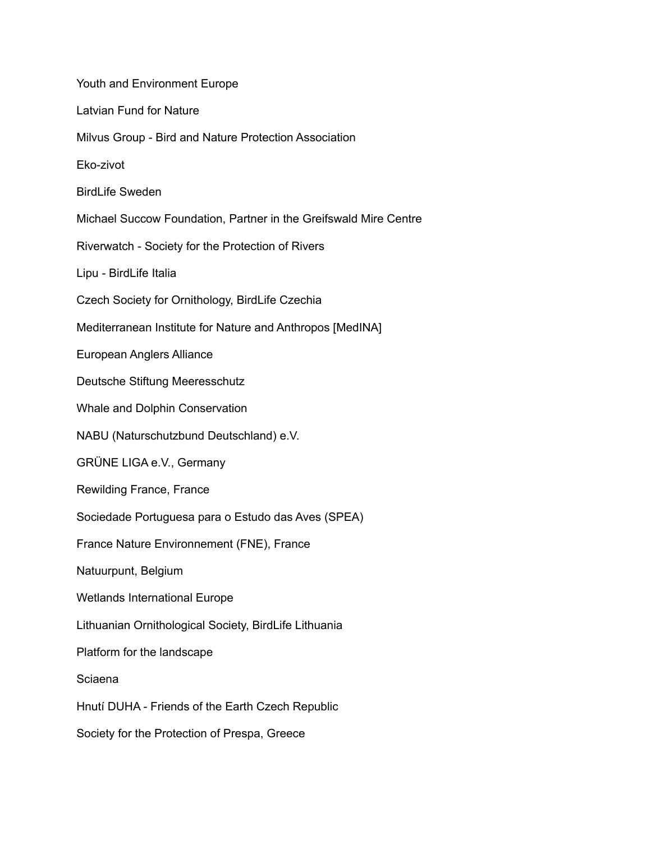Youth and Environment Europe Latvian Fund for Nature Milvus Group - Bird and Nature Protection Association Eko-zivot BirdLife Sweden Michael Succow Foundation, Partner in the Greifswald Mire Centre Riverwatch - Society for the Protection of Rivers Lipu - BirdLife Italia Czech Society for Ornithology, BirdLife Czechia Mediterranean Institute for Nature and Anthropos [MedINA] European Anglers Alliance Deutsche Stiftung Meeresschutz Whale and Dolphin Conservation NABU (Naturschutzbund Deutschland) e.V. GRÜNE LIGA e.V., Germany Rewilding France, France Sociedade Portuguesa para o Estudo das Aves (SPEA) France Nature Environnement (FNE), France Natuurpunt, Belgium Wetlands International Europe Lithuanian Ornithological Society, BirdLife Lithuania Platform for the landscape Sciaena Hnutí DUHA - Friends of the Earth Czech Republic Society for the Protection of Prespa, Greece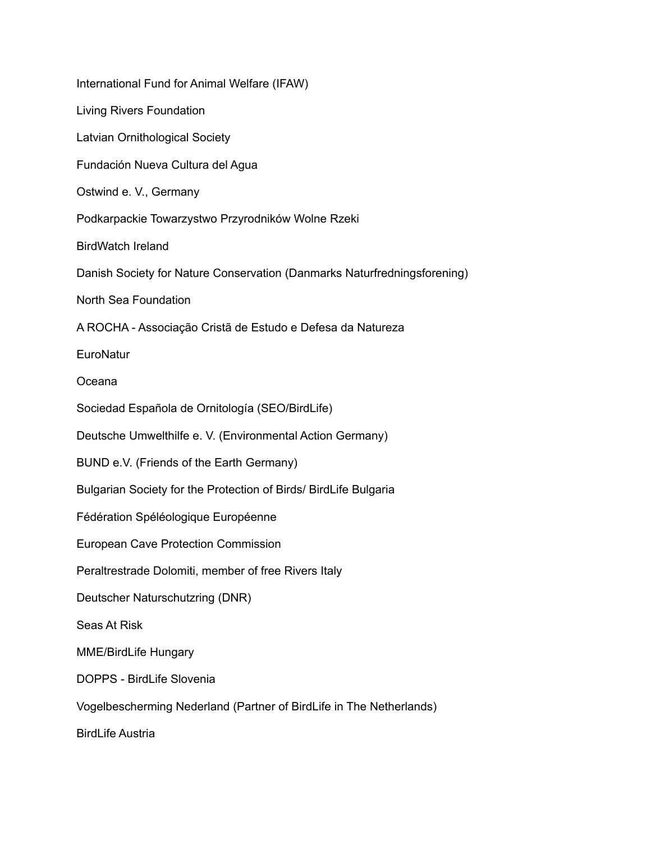| International Fund for Animal Welfare (IFAW)                             |
|--------------------------------------------------------------------------|
| <b>Living Rivers Foundation</b>                                          |
| Latvian Ornithological Society                                           |
| Fundación Nueva Cultura del Agua                                         |
| Ostwind e. V., Germany                                                   |
| Podkarpackie Towarzystwo Przyrodników Wolne Rzeki                        |
| <b>BirdWatch Ireland</b>                                                 |
| Danish Society for Nature Conservation (Danmarks Naturfredningsforening) |
| North Sea Foundation                                                     |
| A ROCHA - Associação Cristã de Estudo e Defesa da Natureza               |
| EuroNatur                                                                |
| Oceana                                                                   |
| Sociedad Española de Ornitología (SEO/BirdLife)                          |
| Deutsche Umwelthilfe e. V. (Environmental Action Germany)                |
| BUND e.V. (Friends of the Earth Germany)                                 |
| Bulgarian Society for the Protection of Birds/ BirdLife Bulgaria         |
| Fédération Spéléologique Européenne                                      |
| <b>European Cave Protection Commission</b>                               |
| Peraltrestrade Dolomiti, member of free Rivers Italy                     |
| Deutscher Naturschutzring (DNR)                                          |
| Seas At Risk                                                             |
| <b>MME/BirdLife Hungary</b>                                              |
| DOPPS - BirdLife Slovenia                                                |
| Vogelbescherming Nederland (Partner of BirdLife in The Netherlands)      |
| <b>BirdLife Austria</b>                                                  |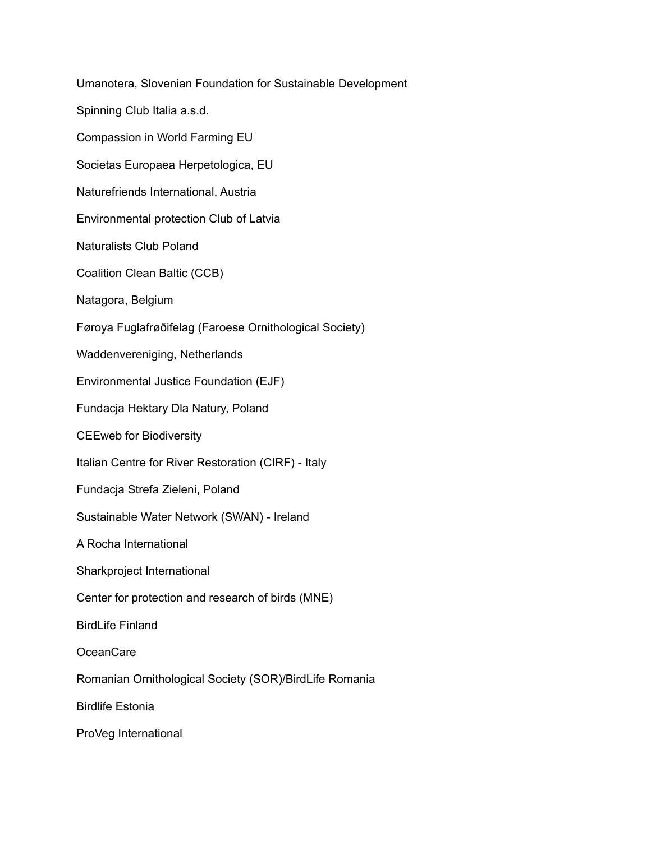Umanotera, Slovenian Foundation for Sustainable Development Spinning Club Italia a.s.d. Compassion in World Farming EU Societas Europaea Herpetologica, EU Naturefriends International, Austria Environmental protection Club of Latvia Naturalists Club Poland Coalition Clean Baltic (CCB) Natagora, Belgium Føroya Fuglafrøðifelag (Faroese Ornithological Society) Waddenvereniging, Netherlands Environmental Justice Foundation (EJF) Fundacja Hektary Dla Natury, Poland CEEweb for Biodiversity Italian Centre for River Restoration (CIRF) - Italy Fundacja Strefa Zieleni, Poland Sustainable Water Network (SWAN) - Ireland A Rocha International Sharkproject International Center for protection and research of birds (MNE) BirdLife Finland OceanCare Romanian Ornithological Society (SOR)/BirdLife Romania Birdlife Estonia ProVeg International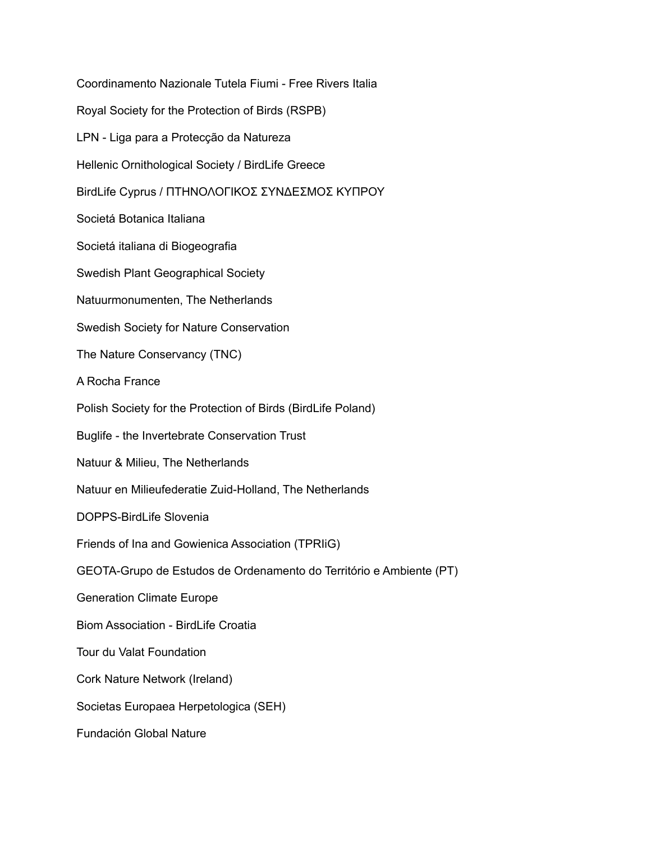Coordinamento Nazionale Tutela Fiumi - Free Rivers Italia Royal Society for the Protection of Birds (RSPB) LPN - Liga para a Protecção da Natureza Hellenic Ornithological Society / BirdLife Greece BirdLife Cyprus / ΠΤΗΝΟΛΟΓΙΚΟΣ ΣΥΝΔΕΣΜΟΣ ΚΥΠΡΟΥ Societá Botanica Italiana Societá italiana di Biogeografia Swedish Plant Geographical Society Natuurmonumenten, The Netherlands Swedish Society for Nature Conservation The Nature Conservancy (TNC) A Rocha France Polish Society for the Protection of Birds (BirdLife Poland) Buglife - the Invertebrate Conservation Trust Natuur & Milieu, The Netherlands Natuur en Milieufederatie Zuid-Holland, The Netherlands DOPPS-BirdLife Slovenia Friends of Ina and Gowienica Association (TPRIiG) GEOTA-Grupo de Estudos de Ordenamento do Território e Ambiente (PT) Generation Climate Europe Biom Association - BirdLife Croatia Tour du Valat Foundation Cork Nature Network (Ireland) Societas Europaea Herpetologica (SEH) Fundación Global Nature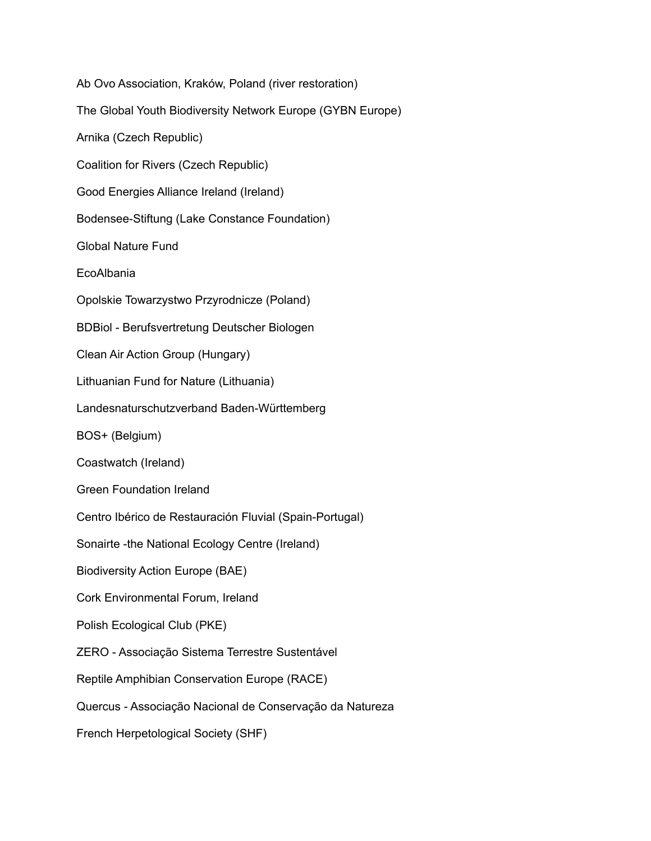Ab Ovo Association, Kraków, Poland (river restoration) The Global Youth Biodiversity Network Europe (GYBN Europe) Arnika (Czech Republic) Coalition for Rivers (Czech Republic) Good Energies Alliance Ireland (Ireland) Bodensee-Stiftung (Lake Constance Foundation) Global Nature Fund **EcoAlbania** Opolskie Towarzystwo Przyrodnicze (Poland) BDBiol - Berufsvertretung Deutscher Biologen Clean Air Action Group (Hungary) Lithuanian Fund for Nature (Lithuania) Landesnaturschutzverband Baden-Württemberg BOS+ (Belgium) Coastwatch (Ireland) Green Foundation Ireland Centro Ibérico de Restauración Fluvial (Spain-Portugal) Sonairte -the National Ecology Centre (Ireland) Biodiversity Action Europe (BAE) Cork Environmental Forum, Ireland Polish Ecological Club (PKE) ZERO - Associação Sistema Terrestre Sustentável Reptile Amphibian Conservation Europe (RACE) Quercus - Associação Nacional de Conservação da Natureza French Herpetological Society (SHF)